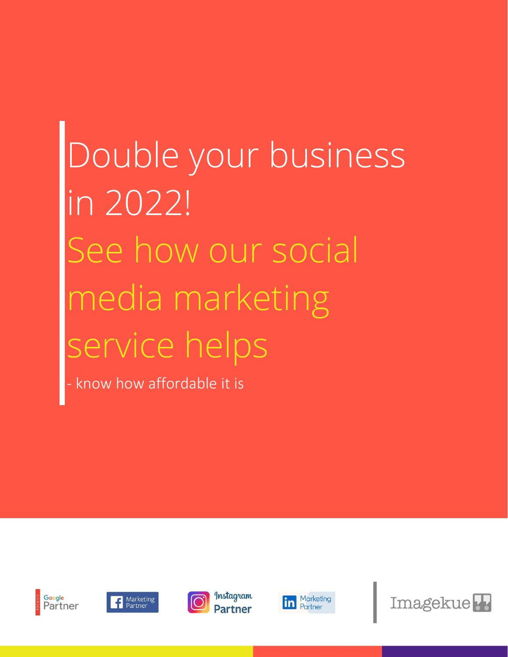# Double your business in 2022! See how our social media marketing service helps

know how affordable it is









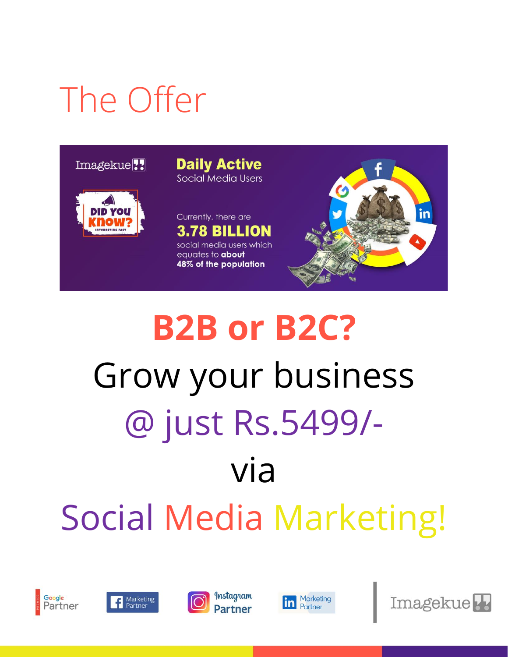#### The Offer

#### Imagekue<sup>77</sup>



**Daily Active** Social Media Users





# **B2B or B2C?** Grow your business @ just Rs.5499/ via Social Media Marketing!









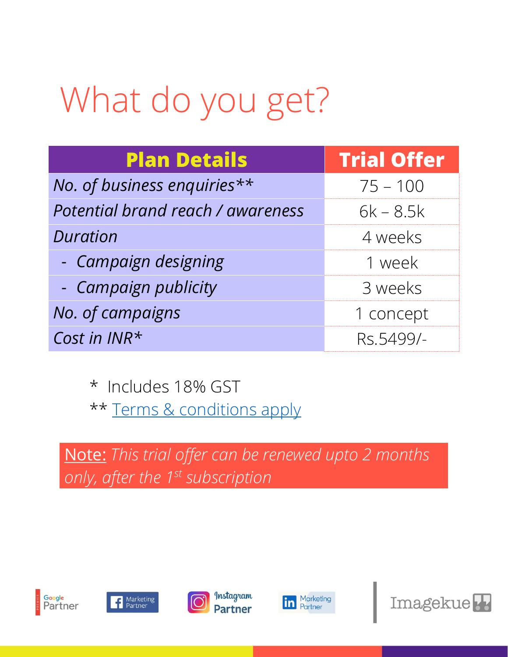### What do you get?

| <b>Plan Details</b>               | <b>Trial Offer</b> |
|-----------------------------------|--------------------|
| No. of business enquiries**       | $75 - 100$         |
| Potential brand reach / awareness | $6k - 8.5k$        |
| <b>Duration</b>                   | 4 weeks            |
| - Campaign designing              | 1 week             |
| - Campaign publicity              | 3 weeks            |
| No. of campaigns                  | 1 concept          |
| Cost in INR*                      | Rs.5499/-          |

\* Includes 18% GST \*\* [Terms & conditions apply](https://imagekue.com/offer-5499-terms-conditions)

Note: *This trial offer can be renewed upto 2 months only, after the 1 st subscription*









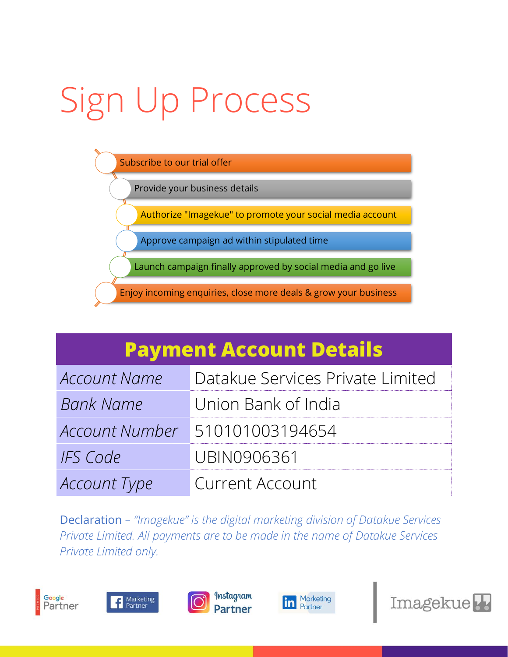# Sign Up Process



#### **Payment Account Details**

| Account Name        | Datakue Services Private Limited |
|---------------------|----------------------------------|
| <b>Bank Name</b>    | Union Bank of India              |
|                     | Account Number 510101003194654   |
| IFS Code            | UBIN0906361                      |
| <b>Account Type</b> | Current Account                  |

Declaration *– "Imagekue" is the digital marketing division of Datakue Services Private Limited. All payments are to be made in the name of Datakue Services Private Limited only.*